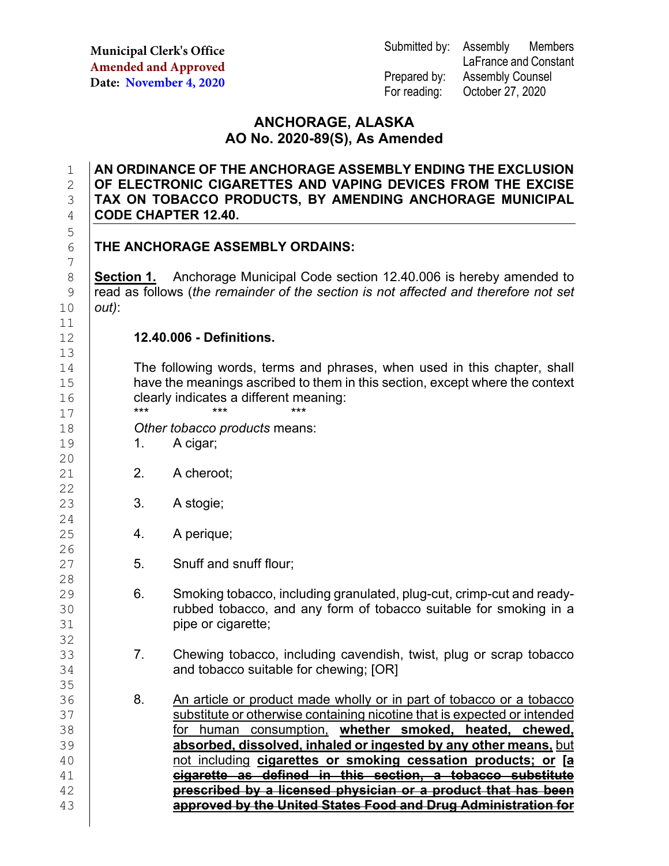**Municipal Clerk's Office Amended and Approved Date: November 4, 2020**

Submitted by: Assembly Members LaFrance and Constant Prepared by: Assembly Counsel For reading: October 27, 2020

## **ANCHORAGE, ALASKA AO No. 2020-89(S), As Amended**

## 1 **AN ORDINANCE OF THE ANCHORAGE ASSEMBLY ENDING THE EXCLUSION**  2 **OF ELECTRONIC CIGARETTES AND VAPING DEVICES FROM THE EXCISE**  3 **| TAX ON TOBACCO PRODUCTS, BY AMENDING ANCHORAGE MUNICIPAL**<br>4 **| CODE CHAPTER 12.40.** 4 **CODE CHAPTER 12.40.**

## **THE ANCHORAGE ASSEMBLY ORDAINS:**

**Section 1.** Anchorage Municipal Code section 12.40.006 is hereby amended to 9 read as follows (*the remainder of the section is not affected and therefore not set*  $10$  *out*): 10 *out)*:

### 12 **12.40.006 - Definitions.**

The following words, terms and phrases, when used in this chapter, shall<br>15 have the meanings ascribed to them in this section, except where the context have the meanings ascribed to them in this section, except where the context 16 clearly indicates a different meaning:<br>17 \*\*\* \*\*\* \*\*\* \*\*\* \*\*\* \*\*\*

17 **\*\*\* \*\*\* \*\*\* \*\*\*** 18 *Other tobacco products* means:

- 19 1. A cigar;
- 21 **2.** A cheroot;
	- 3. A stogie;
		- 4. A perique;
			- 5. Snuff and snuff flour;
- 29 6. Smoking tobacco, including granulated, plug-cut, crimp-cut and ready-<br>30 **6. Smoking tobacco, and any form of tobacco suitable for smoking in a** 30 Tubbed tobacco, and any form of tobacco suitable for smoking in a<br>31 pipe or cigarette; pipe or cigarette;
- 33 7. Chewing tobacco, including cavendish, twist, plug or scrap tobacco<br>34 **7. Chewing tobacco suitable for chewing: IORI** and tobacco suitable for chewing; [OR]
- 35<br>36 36 8. An article or product made wholly or in part of tobacco or a tobacco<br>37 Substitute or otherwise containing nicotine that is expected or intended 37 substitute or otherwise containing nicotine that is expected or intended<br>38 **Subsetive Containst on Superior Superior Superior Smoked. heated. chewed.** 38 for human consumption, **whether smoked, heated, chewed,** 39 **absorbed, dissolved, inhaled or ingested by any other means,** but 40 not including **cigarettes or smoking cessation products; or [a** 41 **cigarette as defined in this section, a tobacco substitute** 42 **prescribed by a licensed physician or a product that has been** 43 **approved by the United States Food and Drug Administration for**

5 7 11<br>12 13<br>14

20

22<br>23

 $\frac{24}{25}$ 

26<br>27

 $\frac{28}{29}$ 

32<br>33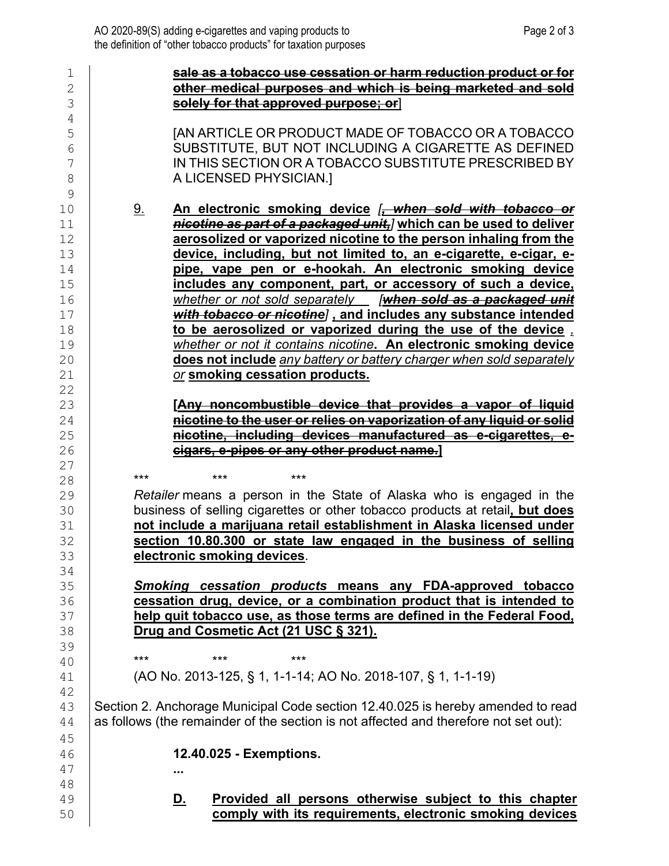| 1            | sale as a tobacco use cessation or harm reduction product or for                     |  |  |  |
|--------------|--------------------------------------------------------------------------------------|--|--|--|
| $\mathbf{2}$ | other medical purposes and which is being marketed and sold                          |  |  |  |
| 3            | solely for that approved purpose; or                                                 |  |  |  |
| 4            |                                                                                      |  |  |  |
| 5            | <b>JAN ARTICLE OR PRODUCT MADE OF TOBACCO OR A TOBACCO</b>                           |  |  |  |
| 6            | SUBSTITUTE, BUT NOT INCLUDING A CIGARETTE AS DEFINED                                 |  |  |  |
| 7            | IN THIS SECTION OR A TOBACCO SUBSTITUTE PRESCRIBED BY                                |  |  |  |
| 8            | A LICENSED PHYSICIAN.]                                                               |  |  |  |
| 9            |                                                                                      |  |  |  |
| 10           | An electronic smoking device [, when sold with tobacco or<br><u>9.</u>               |  |  |  |
| 11           | nicotine as part of a packaged unit,] which can be used to deliver                   |  |  |  |
| 12           | aerosolized or vaporized nicotine to the person inhaling from the                    |  |  |  |
| 13           | device, including, but not limited to, an e-cigarette, e-cigar, e-                   |  |  |  |
| 14           | pipe, vape pen or e-hookah. An electronic smoking device                             |  |  |  |
| 15           | includes any component, part, or accessory of such a device,                         |  |  |  |
| 16           | whether or not sold separately [when sold as a packaged unit                         |  |  |  |
| 17           | with tobacco or nicotine], and includes any substance intended                       |  |  |  |
| 18           | to be aerosolized or vaporized during the use of the device,                         |  |  |  |
| 19           | whether or not it contains nicotine. An electronic smoking device                    |  |  |  |
| 20           | does not include any battery or battery charger when sold separately                 |  |  |  |
| 21<br>22     | or smoking cessation products.                                                       |  |  |  |
| 23           | [Any noncombustible device that provides a vapor of liquid                           |  |  |  |
| 24           | nicotine to the user or relies on vaporization of any liquid or solid                |  |  |  |
| 25           | nicotine, including devices manufactured as e-cigarettes, e-                         |  |  |  |
| 26           | cigars, e-pipes or any other product name.]                                          |  |  |  |
| 27           |                                                                                      |  |  |  |
| 28           | $***$<br>***<br>***                                                                  |  |  |  |
| 29           | Retailer means a person in the State of Alaska who is engaged in the                 |  |  |  |
| 30           | business of selling cigarettes or other tobacco products at retail, but does         |  |  |  |
| 31           | not include a marijuana retail establishment in Alaska licensed under                |  |  |  |
| 32           | section 10.80.300 or state law engaged in the business of selling                    |  |  |  |
| 33           | electronic smoking devices.                                                          |  |  |  |
| 34           |                                                                                      |  |  |  |
| 35           | Smoking cessation products means any FDA-approved tobacco                            |  |  |  |
| 36           | cessation drug, device, or a combination product that is intended to                 |  |  |  |
| 37           | help quit tobacco use, as those terms are defined in the Federal Food,               |  |  |  |
| 38           | Drug and Cosmetic Act (21 USC § 321).                                                |  |  |  |
| 39           | $***$<br>***<br>***                                                                  |  |  |  |
| 40           |                                                                                      |  |  |  |
| 41           | (AO No. 2013-125, § 1, 1-1-14; AO No. 2018-107, § 1, 1-1-19)                         |  |  |  |
| 42           |                                                                                      |  |  |  |
| 43<br>44     | Section 2. Anchorage Municipal Code section 12.40.025 is hereby amended to read      |  |  |  |
|              | as follows (the remainder of the section is not affected and therefore not set out): |  |  |  |
| 45           | 12.40.025 - Exemptions.                                                              |  |  |  |
| 46           |                                                                                      |  |  |  |
| 47<br>48     |                                                                                      |  |  |  |
| 49           | Provided all persons otherwise subject to this chapter                               |  |  |  |
| 50           | <u>D.</u><br>comply with its requirements, electronic smoking devices                |  |  |  |
|              |                                                                                      |  |  |  |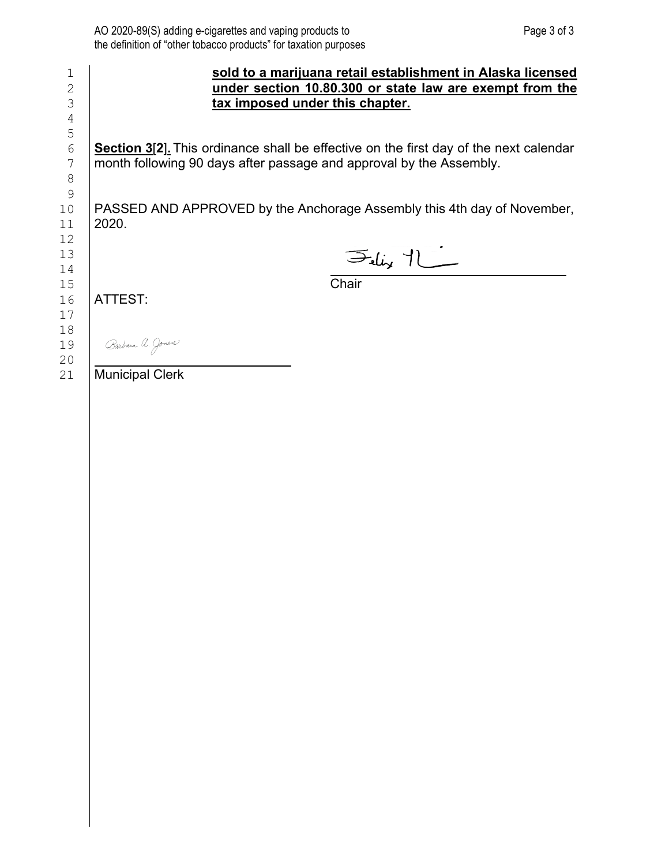| 1  | sold to a marijuana retail establishment in Alaska licensed                                  |  |  |
|----|----------------------------------------------------------------------------------------------|--|--|
| 2  | under section 10.80.300 or state law are exempt from the                                     |  |  |
| 3  | tax imposed under this chapter.                                                              |  |  |
| 4  |                                                                                              |  |  |
| 5  |                                                                                              |  |  |
| 6  | <b>Section 3[2].</b> This ordinance shall be effective on the first day of the next calendar |  |  |
| 7  | month following 90 days after passage and approval by the Assembly.                          |  |  |
| 8  |                                                                                              |  |  |
| 9  |                                                                                              |  |  |
| 10 | PASSED AND APPROVED by the Anchorage Assembly this 4th day of November,                      |  |  |
| 11 | 2020.                                                                                        |  |  |
| 12 |                                                                                              |  |  |
| 13 | $F_{\text{mix}}$ 1                                                                           |  |  |
| 14 |                                                                                              |  |  |
| 15 | Chair                                                                                        |  |  |
| 16 | ATTEST:                                                                                      |  |  |
| 17 |                                                                                              |  |  |
| 18 |                                                                                              |  |  |
| 19 | Barbara A. Jones                                                                             |  |  |
| 20 |                                                                                              |  |  |
| 21 | <b>Municipal Clerk</b>                                                                       |  |  |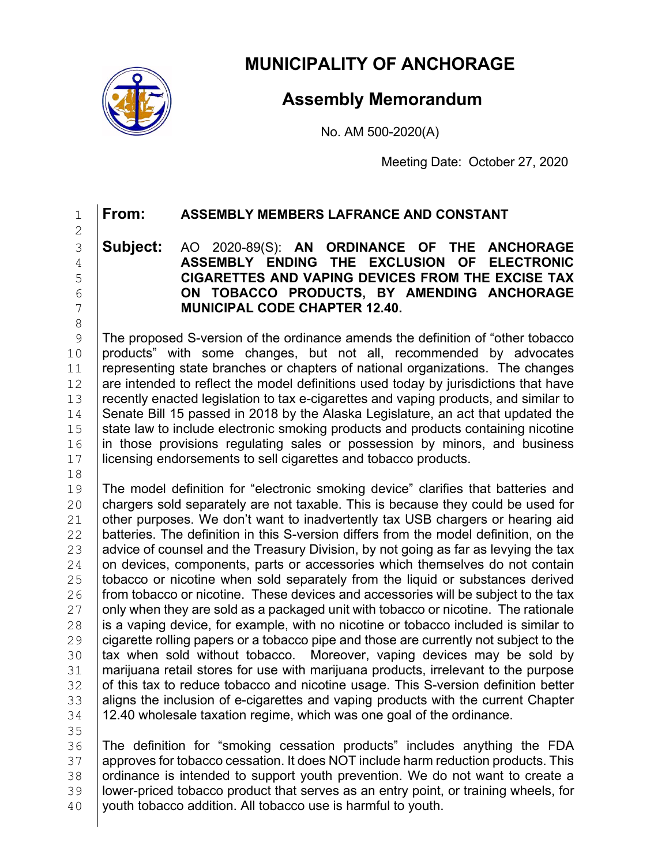

**MUNICIPALITY OF ANCHORAGE**

# **Assembly Memorandum**

No. AM 500-2020(A)

Meeting Date: October 27, 2020

# 1 **From: ASSEMBLY MEMBERS LAFRANCE AND CONSTANT**

2

 **Subject:** AO 2020-89(S): **AN ORDINANCE OF THE ANCHORAGE ASSEMBLY ENDING THE EXCLUSION OF ELECTRONIC CIGARETTES AND VAPING DEVICES FROM THE EXCISE TAX ON TOBACCO PRODUCTS, BY AMENDING ANCHORAGE MUNICIPAL CODE CHAPTER 12.40.** 

8<br>9 9 The proposed S-version of the ordinance amends the definition of "other tobacco<br>10 products" with some changes, but not all, recommended by advocates 10 products" with some changes, but not all, recommended by advocates 11 representing state branches or chapters of national organizations. The changes 11 representing state branches or chapters of national organizations. The changes 12 are intended to reflect the model definitions used today by iurisdictions that have  $\begin{array}{c|c|c|c|c} 12 & \text{are intended to reflect the model definitions used today by justifications that have} \end{array}$  recently enacted legislation to tax e-cigarettes and vaping products, and similar to 13 recently enacted legislation to tax e-cigarettes and vaping products, and similar to<br>14 Senate Bill 15 passed in 2018 by the Alaska Legislature, an act that updated the 14 Senate Bill 15 passed in 2018 by the Alaska Legislature, an act that updated the <br>15 State law to include electronic smoking products and products containing nicotine 15 state law to include electronic smoking products and products containing nicotine  $16$  in those provisions requlating sales or possession by minors, and business 16 in those provisions regulating sales or possession by minors, and business 17 licensing endorsements to sell cigarettes and tobacco products. licensing endorsements to sell cigarettes and tobacco products.

18<br>19

19 The model definition for "electronic smoking device" clarifies that batteries and<br>20 chargers sold separately are not taxable. This is because they could be used for 20 chargers sold separately are not taxable. This is because they could be used for <br>21 other purposes. We don't want to inadvertently tax USB chargers or hearing aid 21 other purposes. We don't want to inadvertently tax USB chargers or hearing aid  $\overline{22}$  batteries. The definition in this S-version differs from the model definition, on the 22 **batteries. The definition in this S-version differs from the model definition, on the last definition** on the tax 23 advice of counsel and the Treasury Division, by not going as far as levying the tax  $24$  on devices, components, parts or accessories which themselves do not contain  $24$  on devices, components, parts or accessories which themselves do not contain  $25$  tobacco or nicotine when sold separately from the liquid or substances derived 25  $\mid$  tobacco or nicotine when sold separately from the liquid or substances derived 26  $\mid$  from tobacco or nicotine. These devices and accessories will be subiect to the tax 26 from tobacco or nicotine. These devices and accessories will be subject to the tax  $27$  only when they are sold as a packaged unit with tobacco or nicotine. The rationale 27  $\mid$  only when they are sold as a packaged unit with tobacco or nicotine. The rationale <br>28  $\mid$  is a vaping device, for example, with no nicotine or tobacco included is similar to 28 is a vaping device, for example, with no nicotine or tobacco included is similar to  $29$  cigarette rolling papers or a tobacco pipe and those are currently not subject to the 29 cigarette rolling papers or a tobacco pipe and those are currently not subject to the<br>30 **tax when sold without tobacco. Moreover, vaping devices may be sold by** 30 tax when sold without tobacco. Moreover, vaping devices may be sold by  $\overline{31}$  marijuana retail stores for use with marijuana products, irrelevant to the purpose 31 | marijuana retail stores for use with marijuana products, irrelevant to the purpose<br>32 | of this tax to reduce tobacco and nicotine usage. This S-version definition better 32 of this tax to reduce tobacco and nicotine usage. This S-version definition better 33 alians the inclusion of e-cigarettes and vaping products with the current Chapter  $\begin{array}{c|c} 33 & \text{aligns} \end{array}$  aligns the inclusion of e-cigarettes and vaping products with the current Chapter  $\begin{array}{c} 34 & 12.40 \end{array}$  wholesale taxation regime. which was one goal of the ordinance. 12.40 wholesale taxation regime, which was one goal of the ordinance.

35<br>36

36 The definition for "smoking cessation products" includes anything the FDA<br>37 approves for tobacco cessation It does NOT include harm reduction products. This 37 approves for tobacco cessation. It does NOT include harm reduction products. This<br>38 ordinance is intended to support youth prevention. We do not want to create a 38 ordinance is intended to support youth prevention. We do not want to create a<br>39 lower-priced tobacco product that serves as an entry point, or training wheels, for  $39$  | lower-priced tobacco product that serves as an entry point, or training wheels, for 40 | youth tobacco addition. All tobacco use is harmful to youth. youth tobacco addition. All tobacco use is harmful to youth.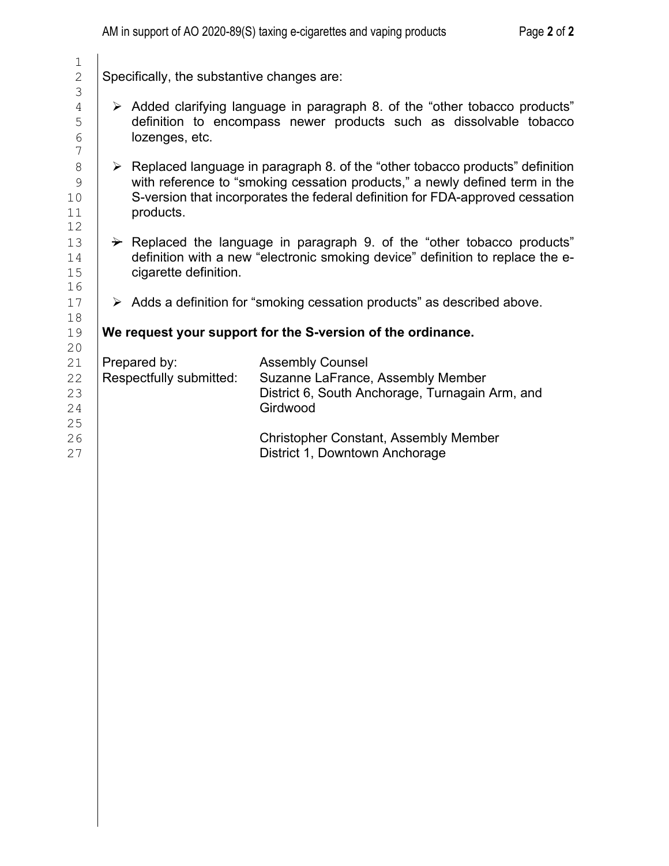Specifically, the substantive changes are:

- 4 Added clarifying language in paragraph 8. of the "other tobacco products" 5 definition to encompass newer products such as dissolvable tobacco<br>6 lozenges, etc. lozenges, etc.
- $8 \quad \triangleright$  Replaced language in paragraph 8. of the "other tobacco products" definition<br>9 9 with reference to "smoking cessation products," a newly defined term in the<br>S-version that incorporates the federal definition for FDA-approved cessation 10 S-version that incorporates the federal definition for FDA-approved cessation<br>11 **Secure 20** oroducts. products.
- $13$   $\rightarrow$  Replaced the language in paragraph 9. of the "other tobacco products"<br>14 definition with a new "electronic smoking device" definition to replace the e-14 definition with a new "electronic smoking device" definition to replace the e-<br>15 cigarette definition. cigarette definition.
- $17$   $\rightarrow$  Adds a definition for "smoking cessation products" as described above.

# 19 **We request your support for the S-version of the ordinance.**

| 21 | Prepared by:            | <b>Assembly Counsel</b>                         |
|----|-------------------------|-------------------------------------------------|
| 22 | Respectfully submitted: | Suzanne LaFrance, Assembly Member               |
| 23 |                         | District 6, South Anchorage, Turnagain Arm, and |
| 24 |                         | Girdwood                                        |
| 25 |                         |                                                 |
| 26 |                         | <b>Christopher Constant, Assembly Member</b>    |
| 27 |                         | District 1, Downtown Anchorage                  |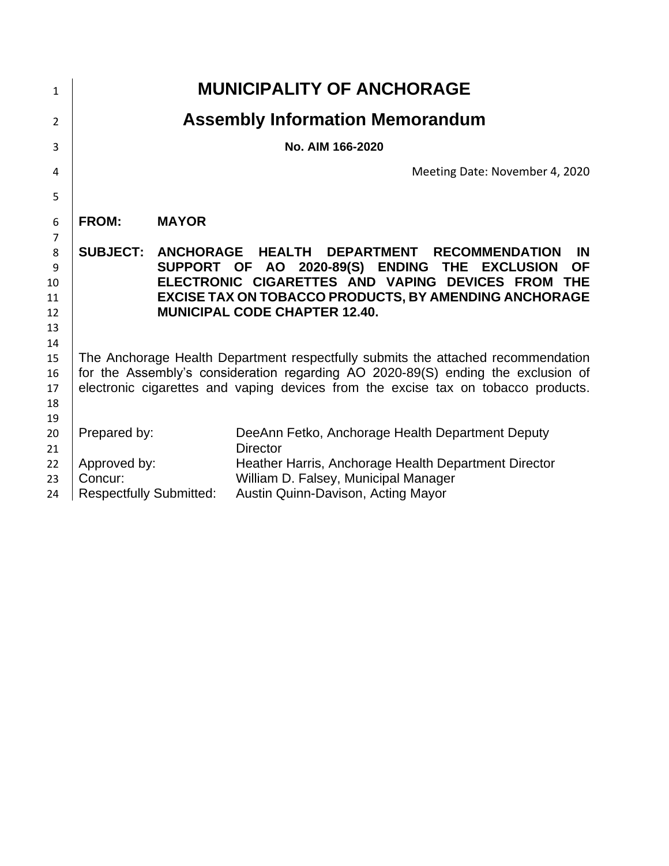| $\mathbf{1}$   |                                                                                                                                                                      |              | <b>MUNICIPALITY OF ANCHORAGE</b>                             |  |  |  |
|----------------|----------------------------------------------------------------------------------------------------------------------------------------------------------------------|--------------|--------------------------------------------------------------|--|--|--|
| $\overline{2}$ |                                                                                                                                                                      |              | <b>Assembly Information Memorandum</b>                       |  |  |  |
| 3              | No. AIM 166-2020                                                                                                                                                     |              |                                                              |  |  |  |
| 4              |                                                                                                                                                                      |              | Meeting Date: November 4, 2020                               |  |  |  |
| 5              |                                                                                                                                                                      |              |                                                              |  |  |  |
| 6              | <b>FROM:</b>                                                                                                                                                         | <b>MAYOR</b> |                                                              |  |  |  |
| 7              |                                                                                                                                                                      |              |                                                              |  |  |  |
| 8              | <b>SUBJECT:</b>                                                                                                                                                      |              | ANCHORAGE HEALTH<br>DEPARTMENT RECOMMENDATION<br><b>IN</b>   |  |  |  |
| 9              |                                                                                                                                                                      |              | SUPPORT OF AO 2020-89(S) ENDING THE EXCLUSION<br><b>OF</b>   |  |  |  |
| 10             |                                                                                                                                                                      |              | ELECTRONIC CIGARETTES AND VAPING DEVICES FROM THE            |  |  |  |
| 11             |                                                                                                                                                                      |              | <b>EXCISE TAX ON TOBACCO PRODUCTS, BY AMENDING ANCHORAGE</b> |  |  |  |
| 12             |                                                                                                                                                                      |              | <b>MUNICIPAL CODE CHAPTER 12.40.</b>                         |  |  |  |
| 13             |                                                                                                                                                                      |              |                                                              |  |  |  |
| 14<br>15       |                                                                                                                                                                      |              |                                                              |  |  |  |
| 16             | The Anchorage Health Department respectfully submits the attached recommendation<br>for the Assembly's consideration regarding AO 2020-89(S) ending the exclusion of |              |                                                              |  |  |  |
| 17             | electronic cigarettes and vaping devices from the excise tax on tobacco products.                                                                                    |              |                                                              |  |  |  |
| 18             |                                                                                                                                                                      |              |                                                              |  |  |  |
| 19             |                                                                                                                                                                      |              |                                                              |  |  |  |
| 20             | Prepared by:                                                                                                                                                         |              | DeeAnn Fetko, Anchorage Health Department Deputy             |  |  |  |
| 21             |                                                                                                                                                                      |              | <b>Director</b>                                              |  |  |  |
| 22             | Approved by:                                                                                                                                                         |              | Heather Harris, Anchorage Health Department Director         |  |  |  |
| 23             | Concur:                                                                                                                                                              |              | William D. Falsey, Municipal Manager                         |  |  |  |
| 24             | <b>Respectfully Submitted:</b>                                                                                                                                       |              | Austin Quinn-Davison, Acting Mayor                           |  |  |  |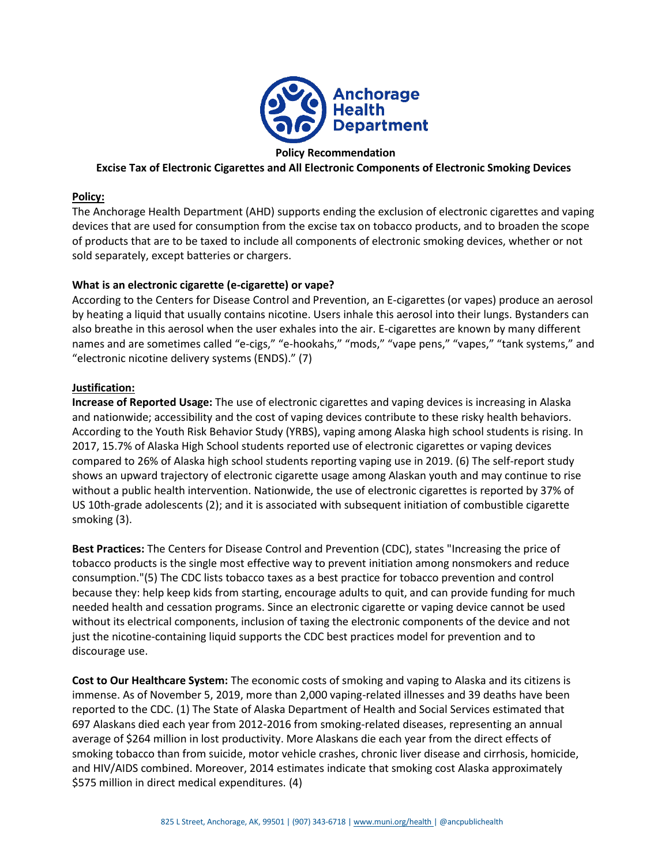

#### **Policy Recommendation**

#### **Excise Tax of Electronic Cigarettes and All Electronic Components of Electronic Smoking Devices**

#### **Policy:**

The Anchorage Health Department (AHD) supports ending the exclusion of electronic cigarettes and vaping devices that are used for consumption from the excise tax on tobacco products, and to broaden the scope of products that are to be taxed to include all components of electronic smoking devices, whether or not sold separately, except batteries or chargers.

#### **What is an electronic cigarette (e-cigarette) or vape?**

According to the Centers for Disease Control and Prevention, an E-cigarettes (or vapes) produce an aerosol by heating a liquid that usually contains nicotine. Users inhale this aerosol into their lungs. Bystanders can also breathe in this aerosol when the user exhales into the air. E-cigarettes are known by many different names and are sometimes called "e-cigs," "e-hookahs," "mods," "vape pens," "vapes," "tank systems," and "electronic nicotine delivery systems (ENDS)." (7)

#### **Justification:**

**Increase of Reported Usage:** The use of electronic cigarettes and vaping devices is increasing in Alaska and nationwide; accessibility and the cost of vaping devices contribute to these risky health behaviors. According to the Youth Risk Behavior Study (YRBS), vaping among Alaska high school students is rising. In 2017, 15.7% of Alaska High School students reported use of electronic cigarettes or vaping devices compared to 26% of Alaska high school students reporting vaping use in 2019. (6) The self-report study shows an upward trajectory of electronic cigarette usage among Alaskan youth and may continue to rise without a public health intervention. Nationwide, the use of electronic cigarettes is reported by 37% of US 10th-grade adolescents (2); and it is associated with subsequent initiation of combustible cigarette smoking (3).

**Best Practices:** The Centers for Disease Control and Prevention (CDC), states "Increasing the price of tobacco products is the single most effective way to prevent initiation among nonsmokers and reduce consumption."(5) The CDC lists tobacco taxes as a best practice for tobacco prevention and control because they: help keep kids from starting, encourage adults to quit, and can provide funding for much needed health and cessation programs. Since an electronic cigarette or vaping device cannot be used without its electrical components, inclusion of taxing the electronic components of the device and not just the nicotine-containing liquid supports the CDC best practices model for prevention and to discourage use.

**Cost to Our Healthcare System:** The economic costs of smoking and vaping to Alaska and its citizens is immense. As of November 5, 2019, more than 2,000 vaping-related illnesses and 39 deaths have been reported to the CDC. (1) The State of Alaska Department of Health and Social Services estimated that 697 Alaskans died each year from 2012-2016 from smoking-related diseases, representing an annual average of \$264 million in lost productivity. More Alaskans die each year from the direct effects of smoking tobacco than from suicide, motor vehicle crashes, chronic liver disease and cirrhosis, homicide, and HIV/AIDS combined. Moreover, 2014 estimates indicate that smoking cost Alaska approximately \$575 million in direct medical expenditures. (4)